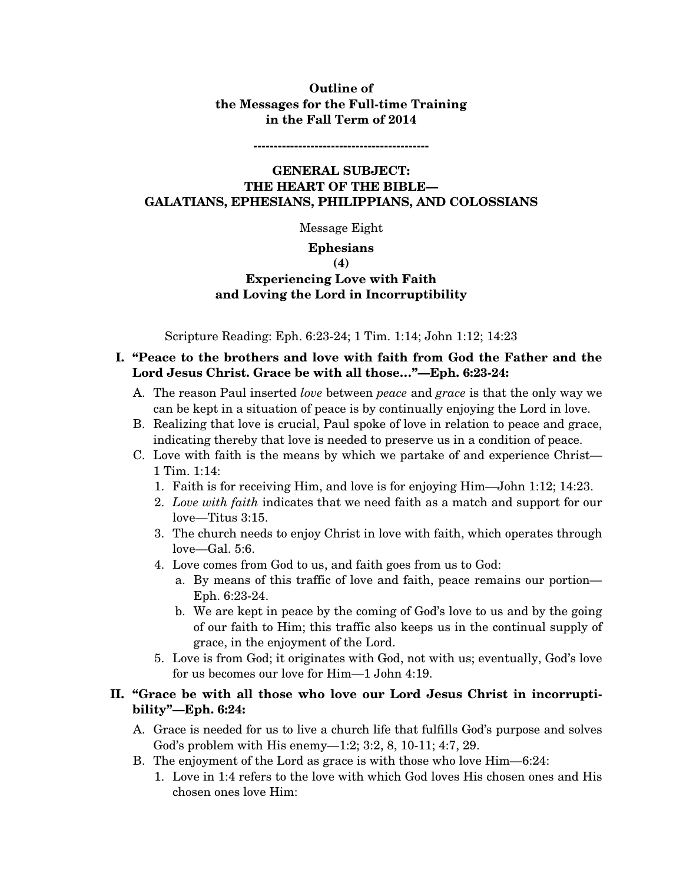# **Outline of the Messages for the Full-time Training in the Fall Term of 2014**

**-------------------------------------------** 

# **GENERAL SUBJECT: THE HEART OF THE BIBLE— GALATIANS, EPHESIANS, PHILIPPIANS, AND COLOSSIANS**

Message Eight

#### **Ephesians**

#### **(4)**

# **Experiencing Love with Faith and Loving the Lord in Incorruptibility**

Scripture Reading: Eph. 6:23-24; 1 Tim. 1:14; John 1:12; 14:23

## **I. "Peace to the brothers and love with faith from God the Father and the Lord Jesus Christ. Grace be with all those…"—Eph. 6:23-24:**

- A. The reason Paul inserted *love* between *peace* and *grace* is that the only way we can be kept in a situation of peace is by continually enjoying the Lord in love.
- B. Realizing that love is crucial, Paul spoke of love in relation to peace and grace, indicating thereby that love is needed to preserve us in a condition of peace.
- C. Love with faith is the means by which we partake of and experience Christ— 1 Tim. 1:14:
	- 1. Faith is for receiving Him, and love is for enjoying Him—John 1:12; 14:23.
	- 2. *Love with faith* indicates that we need faith as a match and support for our love—Titus 3:15.
	- 3. The church needs to enjoy Christ in love with faith, which operates through love—Gal. 5:6.
	- 4. Love comes from God to us, and faith goes from us to God:
		- a. By means of this traffic of love and faith, peace remains our portion— Eph. 6:23-24.
		- b. We are kept in peace by the coming of God's love to us and by the going of our faith to Him; this traffic also keeps us in the continual supply of grace, in the enjoyment of the Lord.
	- 5. Love is from God; it originates with God, not with us; eventually, God's love for us becomes our love for Him—1 John 4:19.

## **II. "Grace be with all those who love our Lord Jesus Christ in incorruptibility"—Eph. 6:24:**

- A. Grace is needed for us to live a church life that fulfills God's purpose and solves God's problem with His enemy—1:2; 3:2, 8, 10-11; 4:7, 29.
- B. The enjoyment of the Lord as grace is with those who love Him—6:24:
	- 1. Love in 1:4 refers to the love with which God loves His chosen ones and His chosen ones love Him: